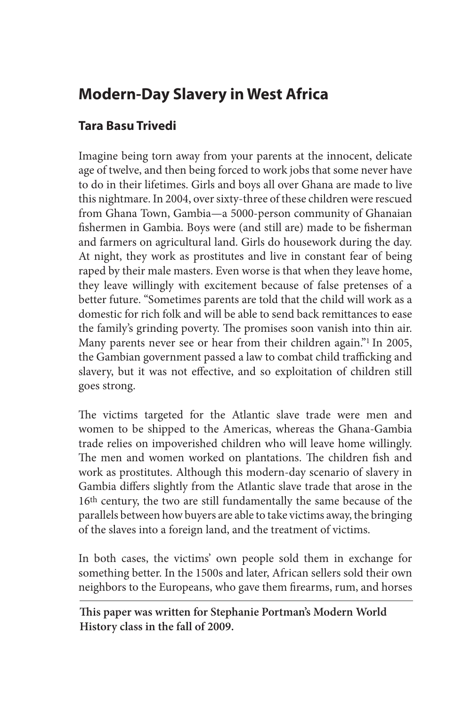## **Modern-Day Slavery in West Africa**

## **Tara Basu Trivedi**

Imagine being torn away from your parents at the innocent, delicate age of twelve, and then being forced to work jobs that some never have to do in their lifetimes. Girls and boys all over Ghana are made to live this nightmare. In 2004, over sixty-three of these children were rescued from Ghana Town, Gambia—a 5000-person community of Ghanaian fishermen in Gambia. Boys were (and still are) made to be fisherman and farmers on agricultural land. Girls do housework during the day. At night, they work as prostitutes and live in constant fear of being raped by their male masters. Even worse is that when they leave home, they leave willingly with excitement because of false pretenses of a better future. "Sometimes parents are told that the child will work as a domestic for rich folk and will be able to send back remittances to ease the family's grinding poverty. The promises soon vanish into thin air. Many parents never see or hear from their children again."<sup>1</sup> In 2005, the Gambian government passed a law to combat child trafficking and slavery, but it was not effective, and so exploitation of children still goes strong.

The victims targeted for the Atlantic slave trade were men and women to be shipped to the Americas, whereas the Ghana-Gambia trade relies on impoverished children who will leave home willingly. The men and women worked on plantations. The children fish and work as prostitutes. Although this modern-day scenario of slavery in Gambia differs slightly from the Atlantic slave trade that arose in the 16th century, the two are still fundamentally the same because of the parallels between how buyers are able to take victims away, the bringing of the slaves into a foreign land, and the treatment of victims.

In both cases, the victims' own people sold them in exchange for something better. In the 1500s and later, African sellers sold their own neighbors to the Europeans, who gave them firearms, rum, and horses

**This paper was written for Stephanie Portman's Modern World History class in the fall of 2009.**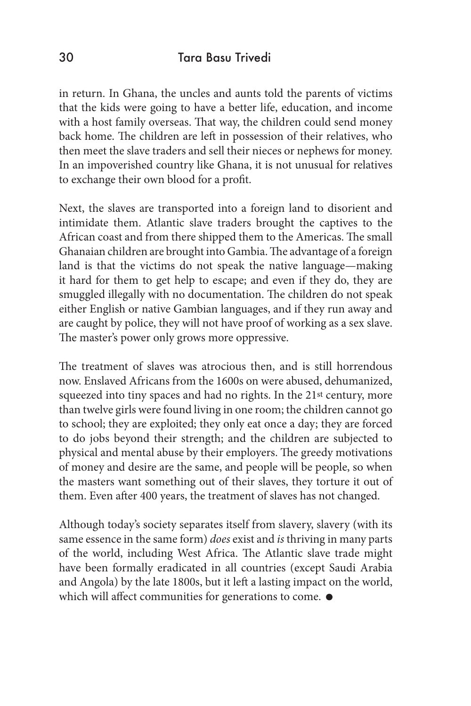in return. In Ghana, the uncles and aunts told the parents of victims that the kids were going to have a better life, education, and income with a host family overseas. That way, the children could send money back home. The children are left in possession of their relatives, who then meet the slave traders and sell their nieces or nephews for money. In an impoverished country like Ghana, it is not unusual for relatives to exchange their own blood for a profit.

Next, the slaves are transported into a foreign land to disorient and intimidate them. Atlantic slave traders brought the captives to the African coast and from there shipped them to the Americas. The small Ghanaian children are brought into Gambia. The advantage of a foreign land is that the victims do not speak the native language—making it hard for them to get help to escape; and even if they do, they are smuggled illegally with no documentation. The children do not speak either English or native Gambian languages, and if they run away and are caught by police, they will not have proof of working as a sex slave. The master's power only grows more oppressive.

The treatment of slaves was atrocious then, and is still horrendous now. Enslaved Africans from the 1600s on were abused, dehumanized, squeezed into tiny spaces and had no rights. In the 21st century, more than twelve girls were found living in one room; the children cannot go to school; they are exploited; they only eat once a day; they are forced to do jobs beyond their strength; and the children are subjected to physical and mental abuse by their employers. The greedy motivations of money and desire are the same, and people will be people, so when the masters want something out of their slaves, they torture it out of them. Even after 400 years, the treatment of slaves has not changed.

Although today's society separates itself from slavery, slavery (with its same essence in the same form) *does* exist and *is* thriving in many parts of the world, including West Africa. The Atlantic slave trade might have been formally eradicated in all countries (except Saudi Arabia and Angola) by the late 1800s, but it left a lasting impact on the world, which will affect communities for generations to come.  $\bullet$